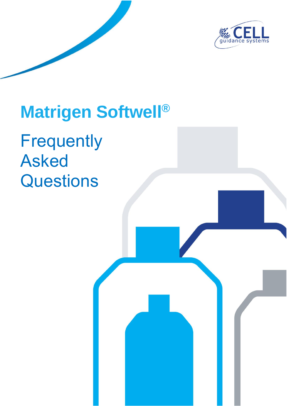

# **Matrigen Softwell®**

**Frequently** Asked **Questions**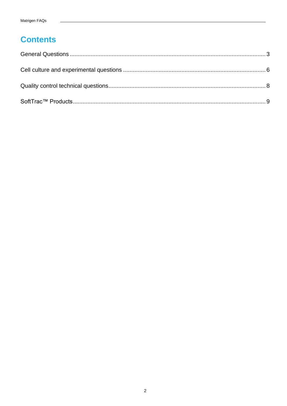# **Contents**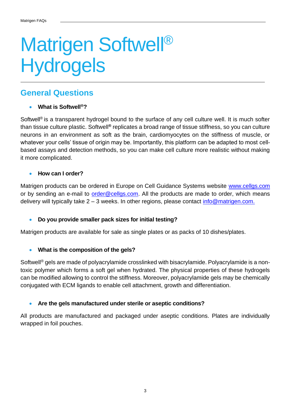# Matrigen Softwell<sup>®</sup> **Hydrogels**

# <span id="page-2-0"></span>**General Questions**

### • **What is Softwell®?**

Softwell<sup>®</sup> is a transparent hydrogel bound to the surface of any cell culture well. It is much softer than tissue culture plastic. Softwell**®** replicates a broad range of tissue stiffness, so you can culture neurons in an environment as soft as the brain, cardiomyocytes on the stiffness of muscle, or whatever your cells' tissue of origin may be. Importantly, this platform can be adapted to most cellbased assays and detection methods, so you can make cell culture more realistic without making it more complicated.

#### • **How can I order?**

Matrigen products can be ordered in Europe on Cell Guidance Systems website [www.cellgs.com](http://www.cellgs.com/) or by sending an e-mail to [order@cellgs.com.](mailto:order@cellgs.com) All the products are made to order, which means delivery will typically take  $2 - 3$  weeks. In other regions, please contact [info@matrigen.com.](mailto:info@matrigen.com)

### • **Do you provide smaller pack sizes for initial testing?**

Matrigen products are available for sale as single plates or as packs of 10 dishes/plates.

#### • **What is the composition of the gels?**

Softwell<sup>®</sup> gels are made of polyacrylamide crosslinked with bisacrylamide. Polyacrylamide is a nontoxic polymer which forms a soft gel when hydrated. The physical properties of these hydrogels can be modified allowing to control the stiffness. Moreover, polyacrylamide gels may be chemically conjugated with ECM ligands to enable cell attachment, growth and differentiation.

#### • **Are the gels manufactured under sterile or aseptic conditions?**

All products are manufactured and packaged under aseptic conditions. Plates are individually wrapped in foil pouches.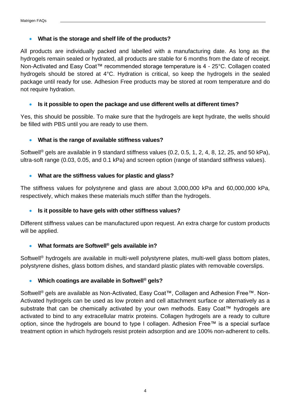#### • **What is the storage and shelf life of the products?**

All products are individually packed and labelled with a manufacturing date. As long as the hydrogels remain sealed or hydrated, all products are stable for 6 months from the date of receipt. Non-Activated and Easy Coat™ recommended storage temperature is 4 - 25°C. Collagen coated hydrogels should be stored at 4°C. Hydration is critical, so keep the hydrogels in the sealed package until ready for use. Adhesion Free products may be stored at room temperature and do not require hydration.

#### • **Is it possible to open the package and use different wells at different times?**

Yes, this should be possible. To make sure that the hydrogels are kept hydrate, the wells should be filled with PBS until you are ready to use them.

#### • **What is the range of available stiffness values?**

Softwell<sup>®</sup> gels are available in 9 standard stiffness values (0.2, 0.5, 1, 2, 4, 8, 12, 25, and 50 kPa), ultra-soft range (0.03, 0.05, and 0.1 kPa) and screen option (range of standard stiffness values).

#### • **What are the stiffness values for plastic and glass?**

The stiffness values for polystyrene and glass are about 3,000,000 kPa and 60,000,000 kPa, respectively, which makes these materials much stiffer than the hydrogels.

### • **Is it possible to have gels with other stiffness values?**

Different stiffness values can be manufactured upon request. An extra charge for custom products will be applied.

### • **What formats are Softwell® gels available in?**

Softwell<sup>®</sup> hydrogels are available in multi-well polystyrene plates, multi-well glass bottom plates, polystyrene dishes, glass bottom dishes, and standard plastic plates with removable coverslips.

### • **Which coatings are available in Softwell® gels?**

Softwell<sup>®</sup> gels are available as Non-Activated, Easy Coat™, Collagen and Adhesion Free™. Non-Activated hydrogels can be used as low protein and cell attachment surface or alternatively as a substrate that can be chemically activated by your own methods. Easy Coat™ hydrogels are activated to bind to any extracellular matrix proteins. Collagen hydrogels are a ready to culture option, since the hydrogels are bound to type I collagen. Adhesion Free™ is a special surface treatment option in which hydrogels resist protein adsorption and are 100% non-adherent to cells.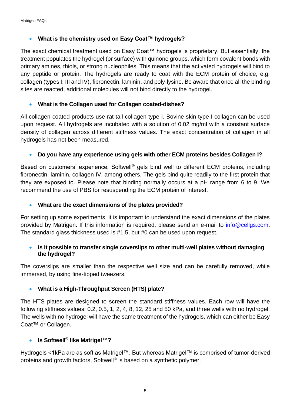### • **What is the chemistry used on Easy Coat™ hydrogels?**

The exact chemical treatment used on Easy Coat™ hydrogels is proprietary. But essentially, the treatment populates the hydrogel (or surface) with quinone groups, which form covalent bonds with primary amines, thiols, or strong nucleophiles. This means that the activated hydrogels will bind to any peptide or protein. The hydrogels are ready to coat with the ECM protein of choice, e.g. collagen (types I, III and IV), fibronectin, laminin, and poly-lysine. Be aware that once all the binding sites are reacted, additional molecules will not bind directly to the hydrogel.

### • **What is the Collagen used for Collagen coated-dishes?**

All collagen-coated products use rat tail collagen type I. Bovine skin type I collagen can be used upon request. All hydrogels are incubated with a solution of 0.02 mg/ml with a constant surface density of collagen across different stiffness values. The exact concentration of collagen in all hydrogels has not been measured.

### • **Do you have any experience using gels with other ECM proteins besides Collagen I?**

Based on customers' experience, Softwell<sup>®</sup> gels bind well to different ECM proteins, including fibronectin, laminin, collagen IV, among others. The gels bind quite readily to the first protein that they are exposed to. Please note that binding normally occurs at a pH range from 6 to 9. We recommend the use of PBS for resuspending the ECM protein of interest.

### • **What are the exact dimensions of the plates provided?**

For setting up some experiments, it is important to understand the exact dimensions of the plates provided by Matrigen. If this information is required, please send an e-mail to [info@cellgs.com.](mailto:info@cellgs.com) The standard glass thickness used is #1.5, but #0 can be used upon request.

#### • **Is it possible to transfer single coverslips to other multi-well plates without damaging the hydrogel?**

The coverslips are smaller than the respective well size and can be carefully removed, while immersed, by using fine-tipped tweezers.

### • **What is a High-Throughput Screen (HTS) plate?**

The HTS plates are designed to screen the standard stiffness values. Each row will have the following stiffness values: 0.2, 0.5, 1, 2, 4, 8, 12, 25 and 50 kPa, and three wells with no hydrogel. The wells with no hydrogel will have the same treatment of the hydrogels, which can either be Easy Coat™ or Collagen.

### • **Is Softwell**® **like Matrigel**™**?**

Hydrogels <1kPa are as soft as Matrigel™. But whereas Matrigel™ is comprised of tumor-derived proteins and growth factors, Softwell® is based on a synthetic polymer.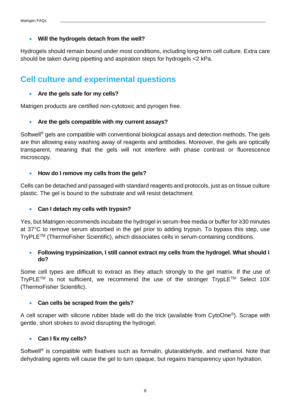#### • **Will the hydrogels detach from the well?**

Hydrogels should remain bound under most conditions, including long-term cell culture. Extra care should be taken during pipetting and aspiration steps for hydrogels <2 kPa.

# <span id="page-5-0"></span>**Cell culture and experimental questions**

#### • **Are the gels safe for my cells?**

Matrigen products are certified non-cytotoxic and pyrogen free.

#### • **Are the gels compatible with my current assays?**

Softwell<sup>®</sup> gels are compatible with conventional biological assays and detection methods. The gels are thin allowing easy washing away of reagents and antibodies. Moreover, the gels are optically transparent, meaning that the gels will not interfere with phase contrast or fluorescence microscopy.

#### • **How do I remove my cells from the gels?**

Cells can be detached and passaged with standard reagents and protocols, just as on tissue culture plastic. The gel is bound to the substrate and will resist detachment.

### • **Can I detach my cells with trypsin?**

Yes, but Matrigen recommends incubate the hydrogel in serum-free media or buffer for ≥30 minutes at 37°C to remove serum absorbed in the gel prior to adding trypsin. To bypass this step, use TryPLETM (ThermoFisher Scientific), which dissociates cells in serum-containing conditions.

#### • **Following trypsinization, I still cannot extract my cells from the hydrogel. What should I do?**

Some cell types are difficult to extract as they attach strongly to the gel matrix. If the use of TryPLETM is not sufficient, we recommend the use of the stronger TrypLETM Select 10X (ThermoFisher Scientific).

#### • **Can cells be scraped from the gels?**

A cell scraper with silicone rubber blade will do the trick (available from CytoOne®). Scrape with gentle, short strokes to avoid disrupting the hydrogel.

#### • **Can I fix my cells?**

Softwell<sup>®</sup> is compatible with fixatives such as formalin, glutaraldehyde, and methanol. Note that dehydrating agents will cause the gel to turn opaque, but regains transparency upon hydration.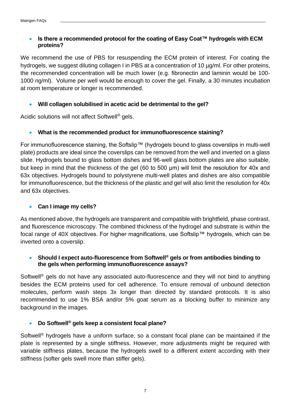## • **Is there a recommended protocol for the coating of Easy Coat™ hydrogels with ECM proteins?**

We recommend the use of PBS for resuspending the ECM protein of interest. For coating the hydrogels, we suggest diluting collagen I in PBS at a concentration of 10  $\mu$ g/ml. For other proteins, the recommended concentration will be much lower (e.g. fibronectin and laminin would be 100- 1000 ng/ml). Volume per well would be enough to cover the gel. Finally, a 30 minutes incubation at room temperature or longer is recommended.

### • **Will collagen solubilised in acetic acid be detrimental to the gel?**

Acidic solutions will not affect Softwell® gels.

### • **What is the recommended product for immunofluorescence staining?**

For immunofluorescence staining, the Softslip™ (hydrogels bound to glass coverslips in multi-well plate) products are ideal since the coverslips can be removed from the well and inverted on a glass slide. Hydrogels bound to glass bottom dishes and 96-well glass bottom plates are also suitable, but keep in mind that the thickness of the gel (60 to 500 μm) will limit the resolution for 40x and 63x objectives. Hydrogels bound to polystyrene multi-well plates and dishes are also compatible for immunofluorescence, but the thickness of the plastic and gel will also limit the resolution for 40x and 63x objectives.

## • **Can I image my cells?**

As mentioned above, the hydrogels are transparent and compatible with brightfield, phase contrast, and fluorescence microscopy. The combined thickness of the hydrogel and substrate is within the focal range of 40X objectives. For higher magnifications, use Softslip™ hydrogels, which can be inverted onto a coverslip.

## • **Should I expect auto-fluorescence from Softwell® gels or from antibodies binding to the gels when performing immunofluorescence assays?**

Softwell<sup>®</sup> gels do not have any associated auto-fluorescence and they will not bind to anything besides the ECM proteins used for cell adherence. To ensure removal of unbound detection molecules, perform wash steps 3x longer than directed by standard protocols. It is also recommended to use 1% BSA and/or 5% goat serum as a blocking buffer to minimize any background in the images.

### • **Do Softwell® gels keep a consistent focal plane?**

Softwell<sup>®</sup> hydrogels have a uniform surface, so a constant focal plane can be maintained if the plate is represented by a single stiffness. However, more adjustments might be required with variable stiffness plates, because the hydrogels swell to a different extent according with their stiffness (softer gels swell more than stiffer gels).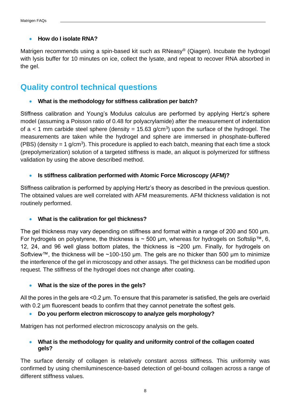### • **How do I isolate RNA?**

Matrigen recommends using a spin-based kit such as RNeasy® (Qiagen). Incubate the hydrogel with lysis buffer for 10 minutes on ice, collect the lysate, and repeat to recover RNA absorbed in the gel.

# <span id="page-7-0"></span>**Quality control technical questions**

• **What is the methodology for stiffness calibration per batch?**

Stiffness calibration and Young's Modulus calculus are performed by applying Hertz's sphere model (assuming a Poisson ratio of 0.48 for polyacrylamide) after the measurement of indentation of  $a < 1$  mm carbide steel sphere (density = 15.63 g/cm<sup>3</sup>) upon the surface of the hydrogel. The measurements are taken while the hydrogel and sphere are immersed in phosphate-buffered (PBS) (density  $= 1$  g/cm<sup>3</sup>). This procedure is applied to each batch, meaning that each time a stock (prepolymerization) solution of a targeted stiffness is made, an aliquot is polymerized for stiffness validation by using the above described method.

### • **Is stiffness calibration performed with Atomic Force Microscopy (AFM)?**

Stiffness calibration is performed by applying Hertz's theory as described in the previous question. The obtained values are well correlated with AFM measurements. AFM thickness validation is not routinely performed.

### • **What is the calibration for gel thickness?**

The gel thickness may vary depending on stiffness and format within a range of 200 and 500 μm. For hydrogels on polystyrene, the thickness is  $\sim$  500 µm, whereas for hydrogels on Softslip<sup>™</sup>, 6, 12, 24, and 96 well glass bottom plates, the thickness is ~200 μm. Finally, for hydrogels on Softview™, the thickness will be ~100-150 µm. The gels are no thicker than 500 µm to minimize the interference of the gel in microscopy and other assays. The gel thickness can be modified upon request. The stiffness of the hydrogel does not change after coating.

### • **What is the size of the pores in the gels?**

All the pores in the gels are <0.2 μm. To ensure that this parameter is satisfied, the gels are overlaid with 0.2 μm fluorescent beads to confirm that they cannot penetrate the softest gels.

### • **Do you perform electron microscopy to analyze gels morphology?**

Matrigen has not performed electron microscopy analysis on the gels.

#### • **What is the methodology for quality and uniformity control of the collagen coated gels?**

The surface density of collagen is relatively constant across stiffness. This uniformity was confirmed by using chemiluminescence-based detection of gel-bound collagen across a range of different stiffness values.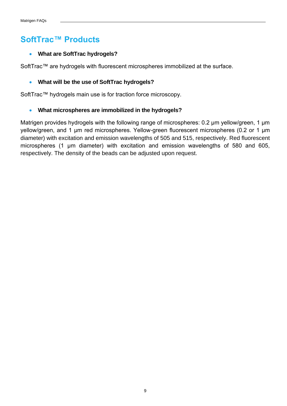# <span id="page-8-0"></span>**SoftTrac™ Products**

## • **What are SoftTrac hydrogels?**

SoftTrac™ are hydrogels with fluorescent microspheres immobilized at the surface.

## • **What will be the use of SoftTrac hydrogels?**

SoftTrac™ hydrogels main use is for traction force microscopy.

### • **What microspheres are immobilized in the hydrogels?**

Matrigen provides hydrogels with the following range of microspheres: 0.2 μm yellow/green, 1 μm yellow/green, and 1 μm red microspheres. Yellow-green fluorescent microspheres (0.2 or 1 μm diameter) with excitation and emission wavelengths of 505 and 515, respectively. Red fluorescent microspheres (1 μm diameter) with excitation and emission wavelengths of 580 and 605, respectively. The density of the beads can be adjusted upon request.